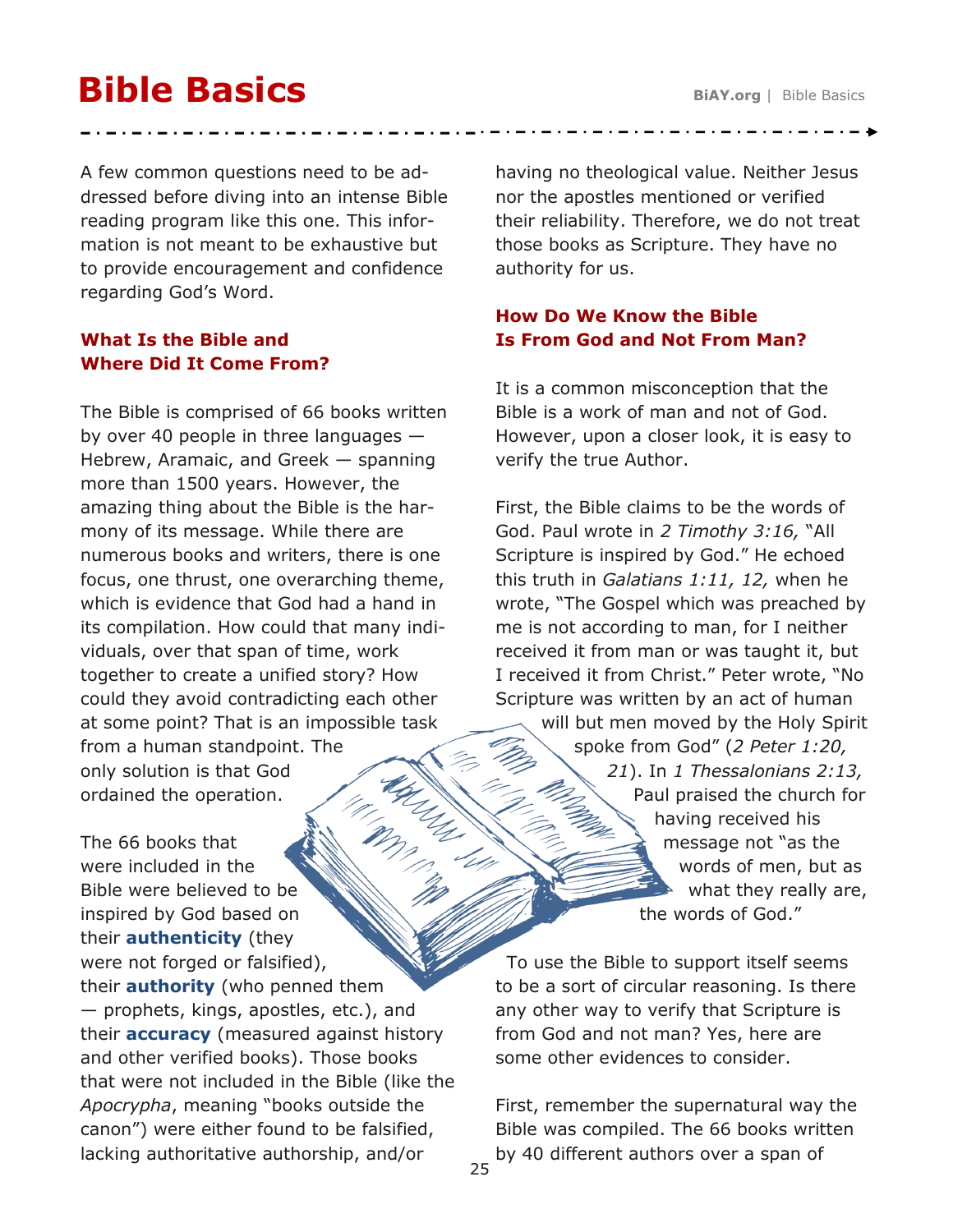# **Bible Basics**

A few common questions need to be addressed before diving into an intense Bible reading program like this one. This information is not meant to be exhaustive but to provide encouragement and confidence regarding God's Word.

## **What Is the Bible and Where Did It Come From?**

The Bible is comprised of 66 books written by over 40 people in three languages — Hebrew, Aramaic, and Greek — spanning more than 1500 years. However, the amazing thing about the Bible is the harmony of its message. While there are numerous books and writers, there is one focus, one thrust, one overarching theme, which is evidence that God had a hand in its compilation. How could that many individuals, over that span of time, work together to create a unified story? How could they avoid contradicting each other at some point? That is an impossible task from a human standpoint. The Amples only solution is that God ordained the operation.

The 66 books that were included in the Bible were believed to be inspired by God based on their **authenticity** (they were not forged or falsified), their **authority** (who penned them — prophets, kings, apostles, etc.), and their **accuracy** (measured against history and other verified books). Those books that were not included in the Bible (like the *Apocrypha*, meaning "books outside the canon") were either found to be falsified, lacking authoritative authorship, and/or

having no theological value. Neither Jesus nor the apostles mentioned or verified their reliability. Therefore, we do not treat those books as Scripture. They have no authority for us.

## **How Do We Know the Bible Is From God and Not From Man?**

It is a common misconception that the Bible is a work of man and not of God. However, upon a closer look, it is easy to verify the true Author.

First, the Bible claims to be the words of God. Paul wrote in *2 Timothy 3:16,* "All Scripture is inspired by God." He echoed this truth in *Galatians 1:11, 12,* when he wrote, "The Gospel which was preached by me is not according to man, for I neither received it from man or was taught it, but I received it from Christ." Peter wrote, "No Scripture was written by an act of human will but men moved by the Holy Spirit spoke from God" (*2 Peter 1:20, 21*). In *1 Thessalonians 2:13,*  Paul praised the church for having received his message not "as the words of men, but as what they really are, the words of God."

To use the Bible to support itself seems to be a sort of circular reasoning. Is there any other way to verify that Scripture is from God and not man? Yes, here are some other evidences to consider.

First, remember the supernatural way the Bible was compiled. The 66 books written by 40 different authors over a span of